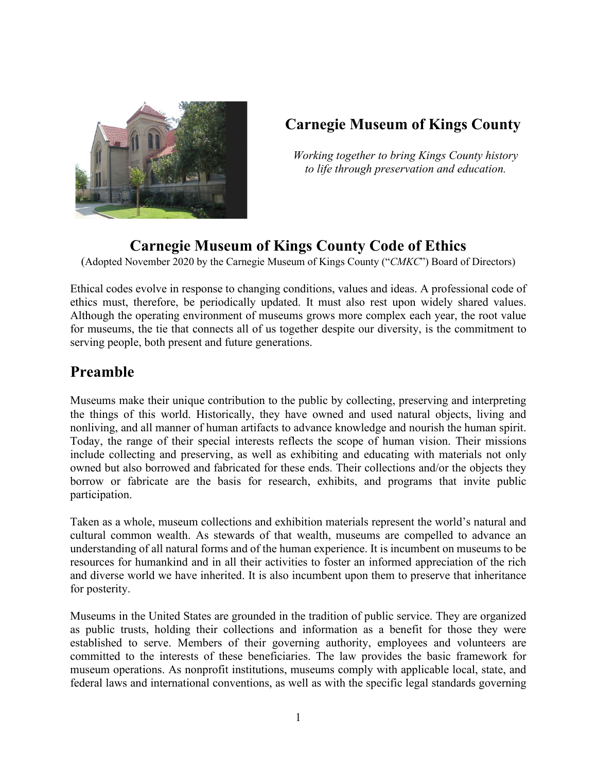

# **Carnegie Museum of Kings County**

*Working together to bring Kings County history to life through preservation and education.*

### **Carnegie Museum of Kings County Code of Ethics**

(Adopted November 2020 by the Carnegie Museum of Kings County ("*CMKC*") Board of Directors)

Ethical codes evolve in response to changing conditions, values and ideas. A professional code of ethics must, therefore, be periodically updated. It must also rest upon widely shared values. Although the operating environment of museums grows more complex each year, the root value for museums, the tie that connects all of us together despite our diversity, is the commitment to serving people, both present and future generations.

### **Preamble**

Museums make their unique contribution to the public by collecting, preserving and interpreting the things of this world. Historically, they have owned and used natural objects, living and nonliving, and all manner of human artifacts to advance knowledge and nourish the human spirit. Today, the range of their special interests reflects the scope of human vision. Their missions include collecting and preserving, as well as exhibiting and educating with materials not only owned but also borrowed and fabricated for these ends. Their collections and/or the objects they borrow or fabricate are the basis for research, exhibits, and programs that invite public participation.

Taken as a whole, museum collections and exhibition materials represent the world's natural and cultural common wealth. As stewards of that wealth, museums are compelled to advance an understanding of all natural forms and of the human experience. It is incumbent on museums to be resources for humankind and in all their activities to foster an informed appreciation of the rich and diverse world we have inherited. It is also incumbent upon them to preserve that inheritance for posterity.

Museums in the United States are grounded in the tradition of public service. They are organized as public trusts, holding their collections and information as a benefit for those they were established to serve. Members of their governing authority, employees and volunteers are committed to the interests of these beneficiaries. The law provides the basic framework for museum operations. As nonprofit institutions, museums comply with applicable local, state, and federal laws and international conventions, as well as with the specific legal standards governing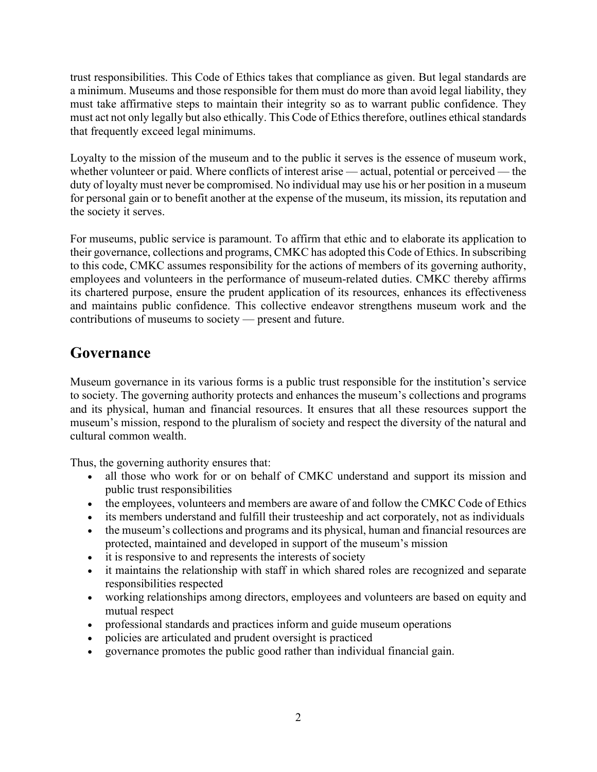trust responsibilities. This Code of Ethics takes that compliance as given. But legal standards are a minimum. Museums and those responsible for them must do more than avoid legal liability, they must take affirmative steps to maintain their integrity so as to warrant public confidence. They must act not only legally but also ethically. This Code of Ethics therefore, outlines ethical standards that frequently exceed legal minimums.

Loyalty to the mission of the museum and to the public it serves is the essence of museum work, whether volunteer or paid. Where conflicts of interest arise — actual, potential or perceived — the duty of loyalty must never be compromised. No individual may use his or her position in a museum for personal gain or to benefit another at the expense of the museum, its mission, its reputation and the society it serves.

For museums, public service is paramount. To affirm that ethic and to elaborate its application to their governance, collections and programs, CMKC has adopted this Code of Ethics. In subscribing to this code, CMKC assumes responsibility for the actions of members of its governing authority, employees and volunteers in the performance of museum-related duties. CMKC thereby affirms its chartered purpose, ensure the prudent application of its resources, enhances its effectiveness and maintains public confidence. This collective endeavor strengthens museum work and the contributions of museums to society — present and future.

## **Governance**

Museum governance in its various forms is a public trust responsible for the institution's service to society. The governing authority protects and enhances the museum's collections and programs and its physical, human and financial resources. It ensures that all these resources support the museum's mission, respond to the pluralism of society and respect the diversity of the natural and cultural common wealth.

Thus, the governing authority ensures that:

- all those who work for or on behalf of CMKC understand and support its mission and public trust responsibilities
- the employees, volunteers and members are aware of and follow the CMKC Code of Ethics
- its members understand and fulfill their trusteeship and act corporately, not as individuals
- the museum's collections and programs and its physical, human and financial resources are protected, maintained and developed in support of the museum's mission
- it is responsive to and represents the interests of society
- it maintains the relationship with staff in which shared roles are recognized and separate responsibilities respected
- working relationships among directors, employees and volunteers are based on equity and mutual respect
- professional standards and practices inform and guide museum operations
- policies are articulated and prudent oversight is practiced
- governance promotes the public good rather than individual financial gain.